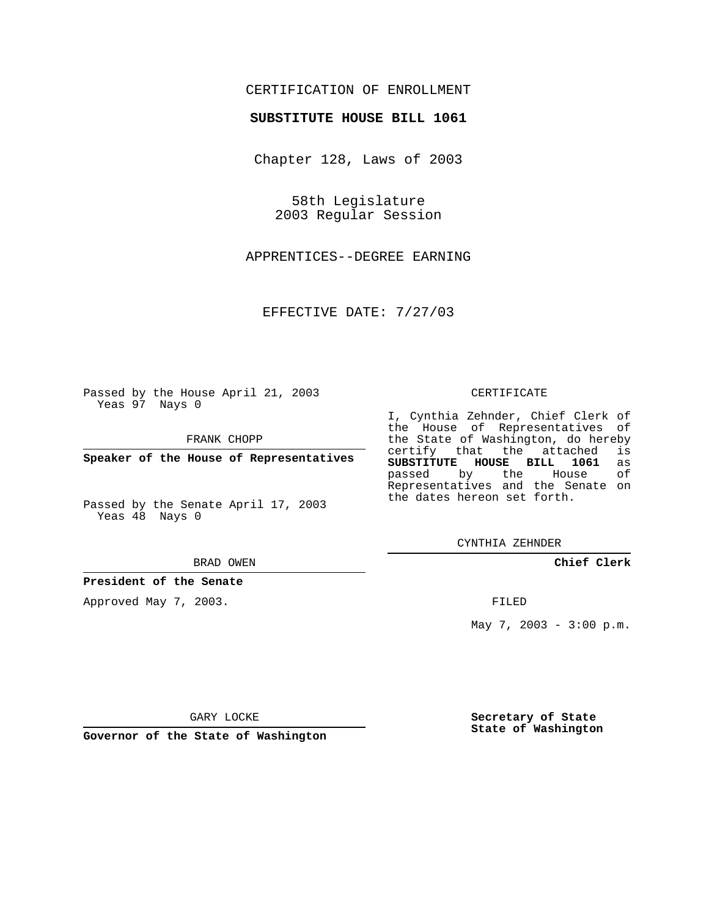## CERTIFICATION OF ENROLLMENT

### **SUBSTITUTE HOUSE BILL 1061**

Chapter 128, Laws of 2003

58th Legislature 2003 Regular Session

APPRENTICES--DEGREE EARNING

EFFECTIVE DATE: 7/27/03

Passed by the House April 21, 2003 Yeas 97 Nays 0

FRANK CHOPP

**Speaker of the House of Representatives**

Passed by the Senate April 17, 2003 Yeas 48 Nays 0

#### BRAD OWEN

**President of the Senate**

Approved May 7, 2003.

#### CERTIFICATE

I, Cynthia Zehnder, Chief Clerk of the House of Representatives of the State of Washington, do hereby<br>certify that the attached is certify that the attached **SUBSTITUTE HOUSE BILL 1061** as passed by the Representatives and the Senate on the dates hereon set forth.

CYNTHIA ZEHNDER

**Chief Clerk**

FILED

May 7, 2003 - 3:00 p.m.

GARY LOCKE

**Governor of the State of Washington**

**Secretary of State State of Washington**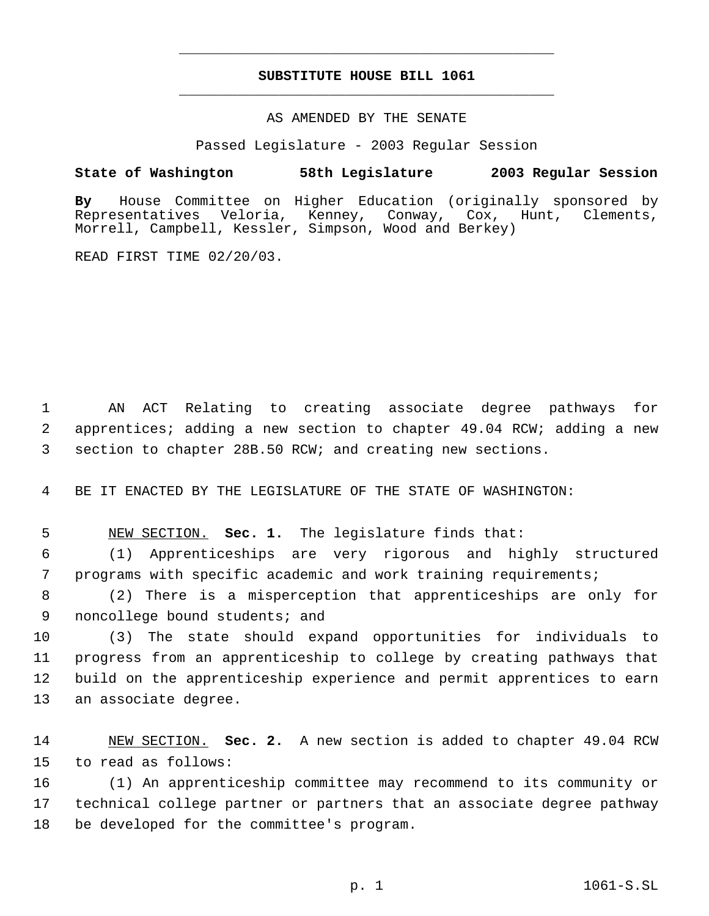# **SUBSTITUTE HOUSE BILL 1061** \_\_\_\_\_\_\_\_\_\_\_\_\_\_\_\_\_\_\_\_\_\_\_\_\_\_\_\_\_\_\_\_\_\_\_\_\_\_\_\_\_\_\_\_\_

\_\_\_\_\_\_\_\_\_\_\_\_\_\_\_\_\_\_\_\_\_\_\_\_\_\_\_\_\_\_\_\_\_\_\_\_\_\_\_\_\_\_\_\_\_

## AS AMENDED BY THE SENATE

Passed Legislature - 2003 Regular Session

## **State of Washington 58th Legislature 2003 Regular Session**

**By** House Committee on Higher Education (originally sponsored by Conway, Cox, Hunt, Clements, Morrell, Campbell, Kessler, Simpson, Wood and Berkey)

READ FIRST TIME 02/20/03.

 1 AN ACT Relating to creating associate degree pathways for 2 apprentices; adding a new section to chapter 49.04 RCW; adding a new 3 section to chapter 28B.50 RCW; and creating new sections.

4 BE IT ENACTED BY THE LEGISLATURE OF THE STATE OF WASHINGTON:

5 NEW SECTION. **Sec. 1.** The legislature finds that:

 6 (1) Apprenticeships are very rigorous and highly structured 7 programs with specific academic and work training requirements;

 8 (2) There is a misperception that apprenticeships are only for 9 noncollege bound students; and

 (3) The state should expand opportunities for individuals to progress from an apprenticeship to college by creating pathways that build on the apprenticeship experience and permit apprentices to earn an associate degree.

14 NEW SECTION. **Sec. 2.** A new section is added to chapter 49.04 RCW 15 to read as follows:

16 (1) An apprenticeship committee may recommend to its community or 17 technical college partner or partners that an associate degree pathway 18 be developed for the committee's program.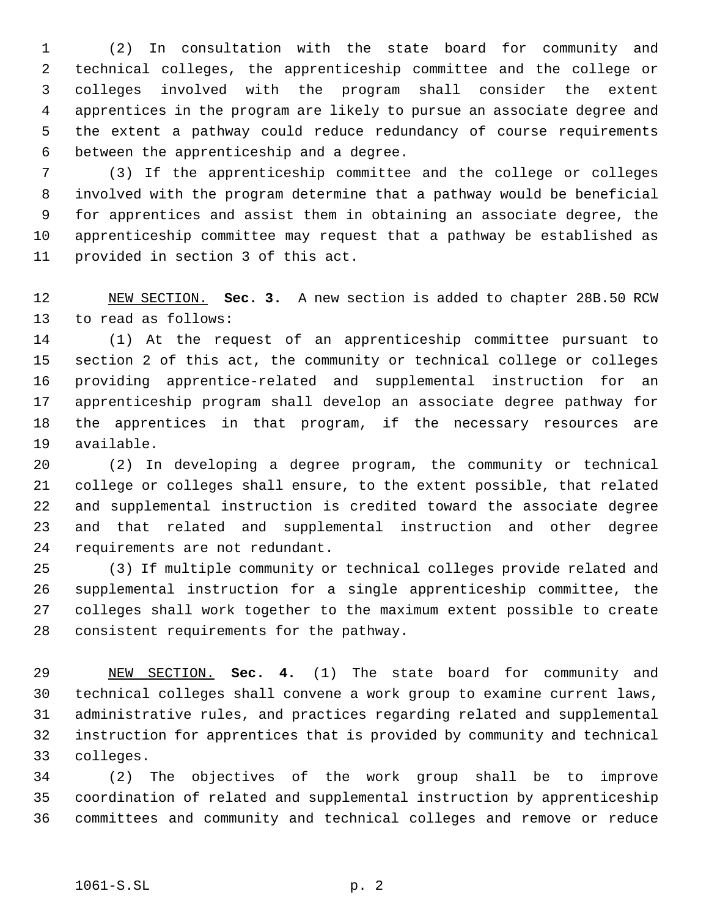(2) In consultation with the state board for community and technical colleges, the apprenticeship committee and the college or colleges involved with the program shall consider the extent apprentices in the program are likely to pursue an associate degree and the extent a pathway could reduce redundancy of course requirements between the apprenticeship and a degree.

 (3) If the apprenticeship committee and the college or colleges involved with the program determine that a pathway would be beneficial for apprentices and assist them in obtaining an associate degree, the apprenticeship committee may request that a pathway be established as provided in section 3 of this act.

 NEW SECTION. **Sec. 3.** A new section is added to chapter 28B.50 RCW to read as follows:

 (1) At the request of an apprenticeship committee pursuant to section 2 of this act, the community or technical college or colleges providing apprentice-related and supplemental instruction for an apprenticeship program shall develop an associate degree pathway for the apprentices in that program, if the necessary resources are available.

 (2) In developing a degree program, the community or technical college or colleges shall ensure, to the extent possible, that related and supplemental instruction is credited toward the associate degree and that related and supplemental instruction and other degree requirements are not redundant.

 (3) If multiple community or technical colleges provide related and supplemental instruction for a single apprenticeship committee, the colleges shall work together to the maximum extent possible to create consistent requirements for the pathway.

 NEW SECTION. **Sec. 4.** (1) The state board for community and technical colleges shall convene a work group to examine current laws, administrative rules, and practices regarding related and supplemental instruction for apprentices that is provided by community and technical colleges.

 (2) The objectives of the work group shall be to improve coordination of related and supplemental instruction by apprenticeship committees and community and technical colleges and remove or reduce